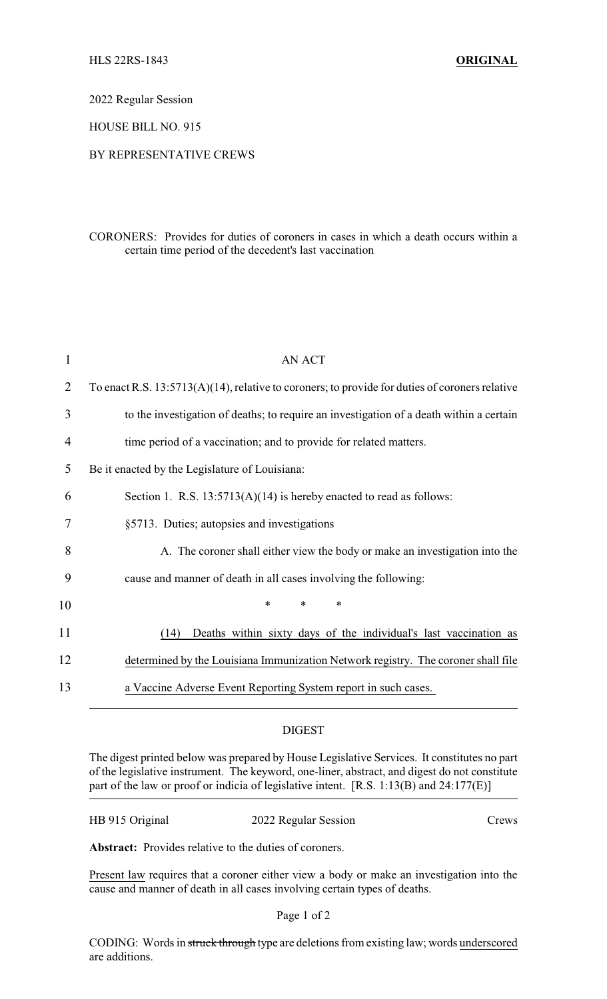2022 Regular Session

HOUSE BILL NO. 915

## BY REPRESENTATIVE CREWS

CORONERS: Provides for duties of coroners in cases in which a death occurs within a certain time period of the decedent's last vaccination

| $\mathbf 1$    | <b>AN ACT</b>                                                                                     |
|----------------|---------------------------------------------------------------------------------------------------|
| $\overline{2}$ | To enact R.S. $13:5713(A)(14)$ , relative to coroners; to provide for duties of coroners relative |
| 3              | to the investigation of deaths; to require an investigation of a death within a certain           |
| 4              | time period of a vaccination; and to provide for related matters.                                 |
| 5              | Be it enacted by the Legislature of Louisiana:                                                    |
| 6              | Section 1. R.S. $13:5713(A)(14)$ is hereby enacted to read as follows:                            |
| 7              | §5713. Duties; autopsies and investigations                                                       |
| 8              | A. The coroner shall either view the body or make an investigation into the                       |
| 9              | cause and manner of death in all cases involving the following:                                   |
| 10             | $\ast$<br>*<br>$\ast$                                                                             |
| 11             | Deaths within sixty days of the individual's last vaccination as<br>(14)                          |
| 12             | determined by the Louisiana Immunization Network registry. The coroner shall file                 |
| 13             | a Vaccine Adverse Event Reporting System report in such cases.                                    |

## DIGEST

The digest printed below was prepared by House Legislative Services. It constitutes no part of the legislative instrument. The keyword, one-liner, abstract, and digest do not constitute part of the law or proof or indicia of legislative intent. [R.S. 1:13(B) and 24:177(E)]

2022 Regular Session Crews

**Abstract:** Provides relative to the duties of coroners.

Present law requires that a coroner either view a body or make an investigation into the cause and manner of death in all cases involving certain types of deaths.

## Page 1 of 2

CODING: Words in struck through type are deletions from existing law; words underscored are additions.